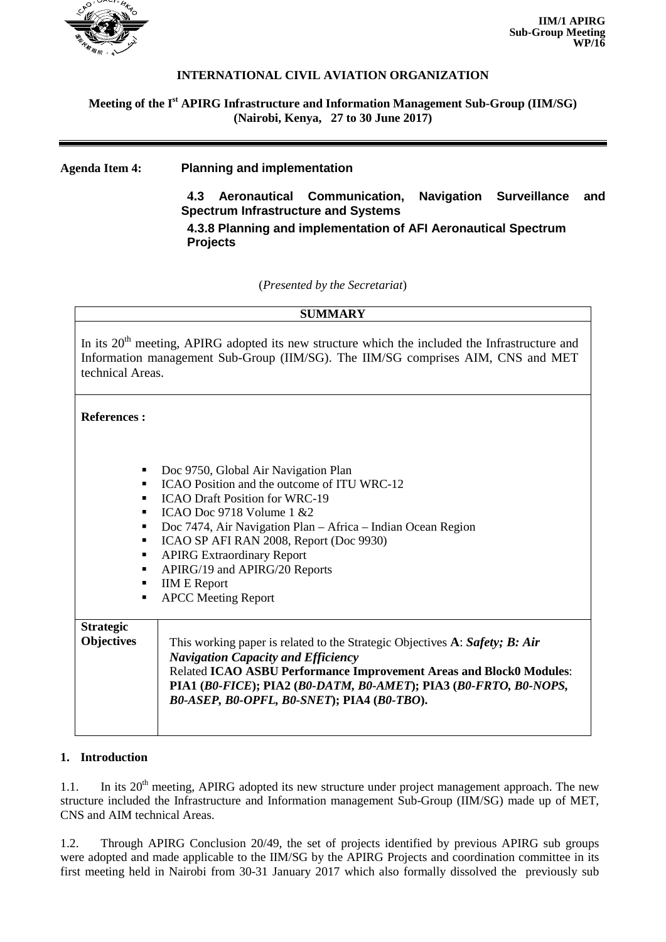

## **INTERNATIONAL CIVIL AVIATION ORGANIZATION**

### **Meeting of the I st APIRG Infrastructure and Information Management Sub-Group (IIM/SG) (Nairobi, Kenya, 27 to 30 June 2017)**

**Agenda Item 4: Planning and implementation**

**4.3 Aeronautical Communication, Navigation Surveillance and Spectrum Infrastructure and Systems**

**4.3.8 Planning and implementation of AFI Aeronautical Spectrum Projects**

(*Presented by the Secretariat*)

| <b>SUMMARY</b>                                                                                                                                                                                                     |                                                                                                                                                                                                                                                                                                                                                                                                     |
|--------------------------------------------------------------------------------------------------------------------------------------------------------------------------------------------------------------------|-----------------------------------------------------------------------------------------------------------------------------------------------------------------------------------------------------------------------------------------------------------------------------------------------------------------------------------------------------------------------------------------------------|
| In its 20 <sup>th</sup> meeting, APIRG adopted its new structure which the included the Infrastructure and<br>Information management Sub-Group (IIM/SG). The IIM/SG comprises AIM, CNS and MET<br>technical Areas. |                                                                                                                                                                                                                                                                                                                                                                                                     |
| <b>References:</b>                                                                                                                                                                                                 |                                                                                                                                                                                                                                                                                                                                                                                                     |
| ٠<br>٠<br>٠<br>٠<br>п<br>п<br>п<br>п<br>٠<br>п                                                                                                                                                                     | Doc 9750, Global Air Navigation Plan<br>ICAO Position and the outcome of ITU WRC-12<br><b>ICAO Draft Position for WRC-19</b><br>ICAO Doc 9718 Volume $1 \& 2$<br>Doc 7474, Air Navigation Plan - Africa - Indian Ocean Region<br>ICAO SP AFI RAN 2008, Report (Doc 9930)<br><b>APIRG Extraordinary Report</b><br>APIRG/19 and APIRG/20 Reports<br><b>IIM E Report</b><br><b>APCC</b> Meeting Report |
| <b>Strategic</b><br><b>Objectives</b>                                                                                                                                                                              | This working paper is related to the Strategic Objectives A: Safety; B: Air<br><b>Navigation Capacity and Efficiency</b><br>Related ICAO ASBU Performance Improvement Areas and Block0 Modules:<br>PIA1 (B0-FICE); PIA2 (B0-DATM, B0-AMET); PIA3 (B0-FRTO, B0-NOPS,<br>B0-ASEP, B0-OPFL, B0-SNET); PIA4 (B0-TBO).                                                                                   |

#### **1. Introduction**

1.1. In its 20<sup>th</sup> meeting, APIRG adopted its new structure under project management approach. The new structure included the Infrastructure and Information management Sub-Group (IIM/SG) made up of MET, CNS and AIM technical Areas.

1.2. Through APIRG Conclusion 20/49, the set of projects identified by previous APIRG sub groups were adopted and made applicable to the IIM/SG by the APIRG Projects and coordination committee in its first meeting held in Nairobi from 30-31 January 2017 which also formally dissolved the previously sub